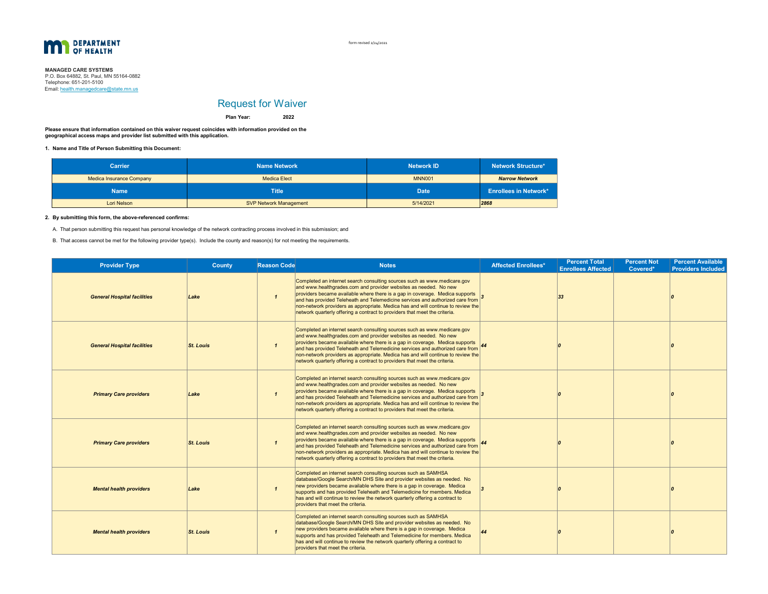

form revised 2/24/2021

# **MANAGED CARE SYSTEMS**<br>P.O. Box 64882, St. Paul, MN 55164-0882 Email: <u>health.managedcare@state.mn.us</u> Telephone: 651-201-5100

# Request for Waiver

**Plan Year:**

**Please ensure that information contained on this waiver request coincides with information provided on the geographical access maps and provider list submitted with this application.**

**1. Name and Title of Person Submitting this Document:**

| <b>Carrier</b>                  | <b>Name Network</b>           | <b>Network ID</b> | <b>Network Structure*</b>    |  |
|---------------------------------|-------------------------------|-------------------|------------------------------|--|
| <b>Medica Insurance Company</b> | Medica Elect                  | <b>MNN001</b>     | <b>Narrow Network</b>        |  |
| <b>Name</b>                     | <b>Title</b>                  | <b>Date</b>       | <b>Enrollees in Network*</b> |  |
| Lori Nelson                     | <b>SVP Network Management</b> | 5/14/2021         | 2868                         |  |

**2022**

#### **2. By submitting this form, the above-referenced confirms:**

A. That person submitting this request has personal knowledge of the network contracting process involved in this submission; and

B. That access cannot be met for the following provider type(s). Include the county and reason(s) for not meeting the requirements.

| <b>Provider Type</b>               | County           | <b>Reason Code</b>      | <b>Notes</b>                                                                                                                                                                                                                                                                                                                                                                                                                                                                    | <b>Affected Enrollees*</b> | <b>Percent Total</b><br><b>Enrollees Affected</b> | <b>Percent Not</b><br>Covered* | <b>Percent Available</b><br><b>Providers Included</b> |
|------------------------------------|------------------|-------------------------|---------------------------------------------------------------------------------------------------------------------------------------------------------------------------------------------------------------------------------------------------------------------------------------------------------------------------------------------------------------------------------------------------------------------------------------------------------------------------------|----------------------------|---------------------------------------------------|--------------------------------|-------------------------------------------------------|
| <b>General Hospital facilities</b> | Lake             | $\mathbf{1}$            | Completed an internet search consulting sources such as www.medicare.gov<br>and www.healthgrades.com and provider websites as needed. No new<br>providers became available where there is a gap in coverage. Medica supports<br>and has provided Teleheath and Telemedicine services and authorized care from<br>non-network providers as appropriate. Medica has and will continue to review the<br>network quarterly offering a contract to providers that meet the criteria. |                            | 33                                                |                                |                                                       |
| <b>General Hospital facilities</b> | <b>St. Louis</b> | $\overline{\mathbf{1}}$ | Completed an internet search consulting sources such as www.medicare.gov<br>and www.healthgrades.com and provider websites as needed. No new<br>providers became available where there is a gap in coverage. Medica supports<br>and has provided Teleheath and Telemedicine services and authorized care from<br>non-network providers as appropriate. Medica has and will continue to review the<br>network quarterly offering a contract to providers that meet the criteria. |                            |                                                   |                                |                                                       |
| <b>Primary Care providers</b>      | Lake             | $\mathbf{1}$            | Completed an internet search consulting sources such as www.medicare.gov<br>and www.healthgrades.com and provider websites as needed. No new<br>providers became available where there is a gap in coverage. Medica supports<br>and has provided Teleheath and Telemedicine services and authorized care from<br>non-network providers as appropriate. Medica has and will continue to review the<br>network quarterly offering a contract to providers that meet the criteria. |                            |                                                   |                                |                                                       |
| <b>Primary Care providers</b>      | <b>St. Louis</b> | $\mathbf{1}$            | Completed an internet search consulting sources such as www.medicare.gov<br>and www.healthgrades.com and provider websites as needed. No new<br>providers became available where there is a gap in coverage. Medica supports<br>and has provided Teleheath and Telemedicine services and authorized care from<br>non-network providers as appropriate. Medica has and will continue to review the<br>network quarterly offering a contract to providers that meet the criteria. |                            |                                                   |                                |                                                       |
| <b>Mental health providers</b>     | Lake             | $\mathbf{1}$            | Completed an internet search consulting sources such as SAMHSA<br>database/Google Search/MN DHS Site and provider websites as needed. No<br>new providers became available where there is a gap in coverage. Medica<br>supports and has provided Teleheath and Telemedicine for members. Medica<br>has and will continue to review the network quarterly offering a contract to<br>providers that meet the criteria.                                                            |                            |                                                   |                                |                                                       |
| <b>Mental health providers</b>     | <b>St. Louis</b> | $\mathbf{1}$            | Completed an internet search consulting sources such as SAMHSA<br>database/Google Search/MN DHS Site and provider websites as needed. No<br>new providers became available where there is a gap in coverage. Medica<br>supports and has provided Teleheath and Telemedicine for members. Medica<br>has and will continue to review the network quarterly offering a contract to<br>providers that meet the criteria.                                                            |                            |                                                   |                                |                                                       |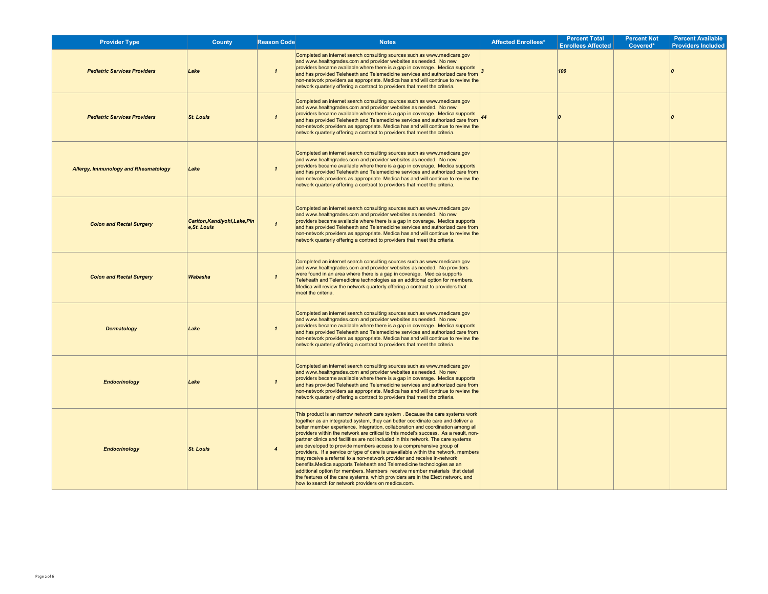| <b>Provider Type</b>                        | County                                        | <b>Reason Code</b>     | <b>Notes</b>                                                                                                                                                                                                                                                                                                                                                                                                                                                                                                                                                                                                                                                                                                                                                                                                                                                                                                                                                               | <b>Affected Enrollees*</b> | <b>Percent Total</b><br><b>Enrollees Affected</b> | <b>Percent Not</b><br>Covered* | <b>Percent Available</b><br><b>Providers Included</b> |
|---------------------------------------------|-----------------------------------------------|------------------------|----------------------------------------------------------------------------------------------------------------------------------------------------------------------------------------------------------------------------------------------------------------------------------------------------------------------------------------------------------------------------------------------------------------------------------------------------------------------------------------------------------------------------------------------------------------------------------------------------------------------------------------------------------------------------------------------------------------------------------------------------------------------------------------------------------------------------------------------------------------------------------------------------------------------------------------------------------------------------|----------------------------|---------------------------------------------------|--------------------------------|-------------------------------------------------------|
| <b>Pediatric Services Providers</b>         | Lake                                          | $\mathbf{1}$           | Completed an internet search consulting sources such as www.medicare.gov<br>and www.healthgrades.com and provider websites as needed. No new<br>providers became available where there is a gap in coverage. Medica supports  <br>and has provided Teleheath and Telemedicine services and authorized care from<br>non-network providers as appropriate. Medica has and will continue to review the<br>network quarterly offering a contract to providers that meet the criteria.                                                                                                                                                                                                                                                                                                                                                                                                                                                                                          |                            | 100                                               |                                |                                                       |
| <b>Pediatric Services Providers</b>         | <b>St. Louis</b>                              | $\mathbf{1}$           | Completed an internet search consulting sources such as www.medicare.gov<br>and www.healthgrades.com and provider websites as needed. No new<br>providers became available where there is a gap in coverage. Medica supports<br>and has provided Teleheath and Telemedicine services and authorized care from<br>non-network providers as appropriate. Medica has and will continue to review the<br>network quarterly offering a contract to providers that meet the criteria.                                                                                                                                                                                                                                                                                                                                                                                                                                                                                            |                            |                                                   |                                |                                                       |
| <b>Allergy, Immunology and Rheumatology</b> | Lake                                          | $\mathbf{1}$           | Completed an internet search consulting sources such as www.medicare.gov<br>and www.healthgrades.com and provider websites as needed. No new<br>providers became available where there is a gap in coverage. Medica supports<br>and has provided Teleheath and Telemedicine services and authorized care from<br>non-network providers as appropriate. Medica has and will continue to review the<br>network quarterly offering a contract to providers that meet the criteria.                                                                                                                                                                                                                                                                                                                                                                                                                                                                                            |                            |                                                   |                                |                                                       |
| <b>Colon and Rectal Surgery</b>             | Carlton, Kandiyohi, Lake, Pin<br>e, St. Louis | $\overline{1}$         | Completed an internet search consulting sources such as www.medicare.gov<br>and www.healthgrades.com and provider websites as needed. No new<br>providers became available where there is a gap in coverage. Medica supports<br>and has provided Teleheath and Telemedicine services and authorized care from<br>non-network providers as appropriate. Medica has and will continue to review the<br>network quarterly offering a contract to providers that meet the criteria.                                                                                                                                                                                                                                                                                                                                                                                                                                                                                            |                            |                                                   |                                |                                                       |
| <b>Colon and Rectal Surgery</b>             | Wabasha                                       | $\mathbf{1}$           | Completed an internet search consulting sources such as www.medicare.gov<br>and www.healthgrades.com and provider websites as needed. No providers<br>were found in an area where there is a gap in coverage. Medica supports<br>Teleheath and Telemedicine technologies as an additional option for members.<br>Medica will review the network quarterly offering a contract to providers that<br>meet the criteria.                                                                                                                                                                                                                                                                                                                                                                                                                                                                                                                                                      |                            |                                                   |                                |                                                       |
| <b>Dermatology</b>                          | Lake                                          | $\mathbf{1}$           | Completed an internet search consulting sources such as www.medicare.gov<br>and www.healthgrades.com and provider websites as needed. No new<br>providers became available where there is a gap in coverage. Medica supports<br>and has provided Teleheath and Telemedicine services and authorized care from<br>non-network providers as appropriate. Medica has and will continue to review the<br>network quarterly offering a contract to providers that meet the criteria.                                                                                                                                                                                                                                                                                                                                                                                                                                                                                            |                            |                                                   |                                |                                                       |
| <b>Endocrinology</b>                        | Lake                                          | $\mathbf{I}$           | Completed an internet search consulting sources such as www.medicare.gov<br>and www.healthgrades.com and provider websites as needed. No new<br>providers became available where there is a gap in coverage. Medica supports<br>and has provided Teleheath and Telemedicine services and authorized care from<br>non-network providers as appropriate. Medica has and will continue to review the<br>network quarterly offering a contract to providers that meet the criteria.                                                                                                                                                                                                                                                                                                                                                                                                                                                                                            |                            |                                                   |                                |                                                       |
| <b>Endocrinology</b>                        | <b>St. Louis</b>                              | $\boldsymbol{\Lambda}$ | This product is an narrow network care system. Because the care systems work<br>together as an integrated system, they can better coordinate care and deliver a<br>better member experience. Integration, collaboration and coordination among all<br>providers within the network are critical to this model's success. As a result, non-<br>partner clinics and facilities are not included in this network. The care systems<br>are developed to provide members access to a comprehensive group of<br>providers. If a service or type of care is unavailable within the network, members<br>may receive a referral to a non-network provider and receive in-network<br>benefits. Medica supports Teleheath and Telemedicine technologies as an<br>additional option for members. Members receive member materials that detail<br>the features of the care systems, which providers are in the Elect network, and<br>how to search for network providers on medica.com. |                            |                                                   |                                |                                                       |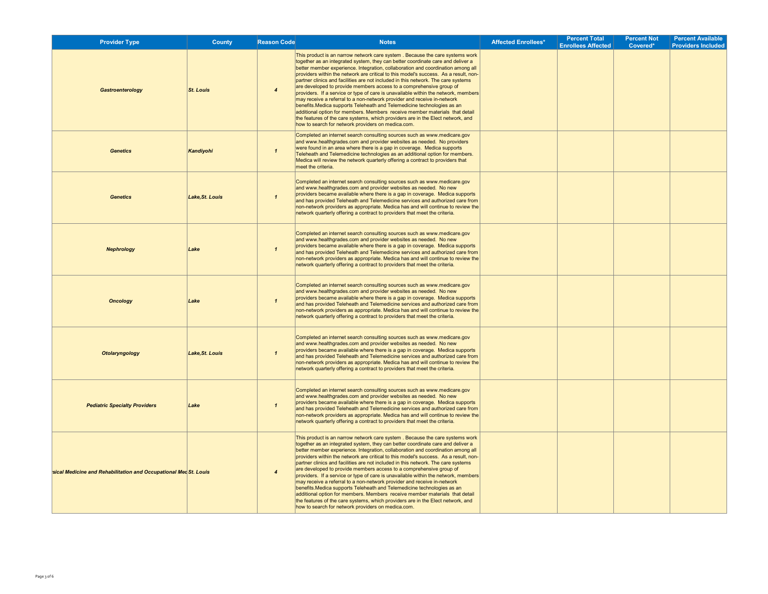| <b>Provider Type</b>                                             | County           | <b>Reason Code</b>     | <b>Notes</b>                                                                                                                                                                                                                                                                                                                                                                                                                                                                                                                                                                                                                                                                                                                                                                                                                                                                                                                                                                | <b>Affected Enrollees*</b> | <b>Percent Total</b><br><b>Enrollees Affected</b> | <b>Percent Not</b><br>Covered* | <b>Percent Available</b><br><b>Providers Included</b> |
|------------------------------------------------------------------|------------------|------------------------|-----------------------------------------------------------------------------------------------------------------------------------------------------------------------------------------------------------------------------------------------------------------------------------------------------------------------------------------------------------------------------------------------------------------------------------------------------------------------------------------------------------------------------------------------------------------------------------------------------------------------------------------------------------------------------------------------------------------------------------------------------------------------------------------------------------------------------------------------------------------------------------------------------------------------------------------------------------------------------|----------------------------|---------------------------------------------------|--------------------------------|-------------------------------------------------------|
| Gastroenterology                                                 | <b>St. Louis</b> | $\boldsymbol{\Lambda}$ | This product is an narrow network care system . Because the care systems work<br>together as an integrated system, they can better coordinate care and deliver a<br>better member experience. Integration, collaboration and coordination among all<br>providers within the network are critical to this model's success. As a result, non-<br>partner clinics and facilities are not included in this network. The care systems<br>are developed to provide members access to a comprehensive group of<br>providers. If a service or type of care is unavailable within the network, members<br>may receive a referral to a non-network provider and receive in-network<br>benefits. Medica supports Teleheath and Telemedicine technologies as an<br>additional option for members. Members receive member materials that detail<br>the features of the care systems, which providers are in the Elect network, and<br>how to search for network providers on medica.com. |                            |                                                   |                                |                                                       |
| <b>Genetics</b>                                                  | Kandiyohi        | $\mathbf{1}$           | Completed an internet search consulting sources such as www.medicare.gov<br>and www.healthgrades.com and provider websites as needed. No providers<br>were found in an area where there is a gap in coverage. Medica supports<br>Teleheath and Telemedicine technologies as an additional option for members.<br>Medica will review the network quarterly offering a contract to providers that<br>meet the criteria.                                                                                                                                                                                                                                                                                                                                                                                                                                                                                                                                                       |                            |                                                   |                                |                                                       |
| <b>Genetics</b>                                                  | Lake, St. Louis  | $\mathbf{1}$           | Completed an internet search consulting sources such as www.medicare.gov<br>and www.healthgrades.com and provider websites as needed. No new<br>providers became available where there is a gap in coverage. Medica supports<br>and has provided Teleheath and Telemedicine services and authorized care from<br>non-network providers as appropriate. Medica has and will continue to review the<br>network quarterly offering a contract to providers that meet the criteria.                                                                                                                                                                                                                                                                                                                                                                                                                                                                                             |                            |                                                   |                                |                                                       |
| <b>Nephrology</b>                                                | Lake             | $\mathbf{I}$           | Completed an internet search consulting sources such as www.medicare.gov<br>and www.healthgrades.com and provider websites as needed. No new<br>providers became available where there is a gap in coverage. Medica supports<br>and has provided Teleheath and Telemedicine services and authorized care from<br>non-network providers as appropriate. Medica has and will continue to review the<br>network quarterly offering a contract to providers that meet the criteria.                                                                                                                                                                                                                                                                                                                                                                                                                                                                                             |                            |                                                   |                                |                                                       |
| <b>Oncology</b>                                                  | Lake             | $\mathbf{1}$           | Completed an internet search consulting sources such as www.medicare.gov<br>and www.healthgrades.com and provider websites as needed. No new<br>providers became available where there is a gap in coverage. Medica supports<br>and has provided Teleheath and Telemedicine services and authorized care from<br>non-network providers as appropriate. Medica has and will continue to review the<br>network quarterly offering a contract to providers that meet the criteria.                                                                                                                                                                                                                                                                                                                                                                                                                                                                                             |                            |                                                   |                                |                                                       |
| <b>Otolaryngology</b>                                            | Lake, St. Louis  | $\mathbf{1}$           | Completed an internet search consulting sources such as www.medicare.gov<br>and www.healthgrades.com and provider websites as needed. No new<br>providers became available where there is a gap in coverage. Medica supports<br>and has provided Teleheath and Telemedicine services and authorized care from<br>non-network providers as appropriate. Medica has and will continue to review the<br>network quarterly offering a contract to providers that meet the criteria.                                                                                                                                                                                                                                                                                                                                                                                                                                                                                             |                            |                                                   |                                |                                                       |
| <b>Pediatric Specialty Providers</b>                             | Lake             | $\mathbf{1}$           | Completed an internet search consulting sources such as www.medicare.gov<br>and www.healthgrades.com and provider websites as needed. No new<br>providers became available where there is a gap in coverage. Medica supports<br>and has provided Teleheath and Telemedicine services and authorized care from<br>non-network providers as appropriate. Medica has and will continue to review the<br>network quarterly offering a contract to providers that meet the criteria.                                                                                                                                                                                                                                                                                                                                                                                                                                                                                             |                            |                                                   |                                |                                                       |
| sical Medicine and Rehabilitation and Occupational Med St. Louis |                  | $\boldsymbol{\Lambda}$ | This product is an narrow network care system. Because the care systems work<br>together as an integrated system, they can better coordinate care and deliver a<br>better member experience. Integration, collaboration and coordination among all<br>providers within the network are critical to this model's success. As a result, non-<br>partner clinics and facilities are not included in this network. The care systems<br>are developed to provide members access to a comprehensive group of<br>providers. If a service or type of care is unavailable within the network, members<br>may receive a referral to a non-network provider and receive in-network<br>benefits. Medica supports Teleheath and Telemedicine technologies as an<br>additional option for members. Members receive member materials that detail<br>the features of the care systems, which providers are in the Elect network, and<br>how to search for network providers on medica.com.  |                            |                                                   |                                |                                                       |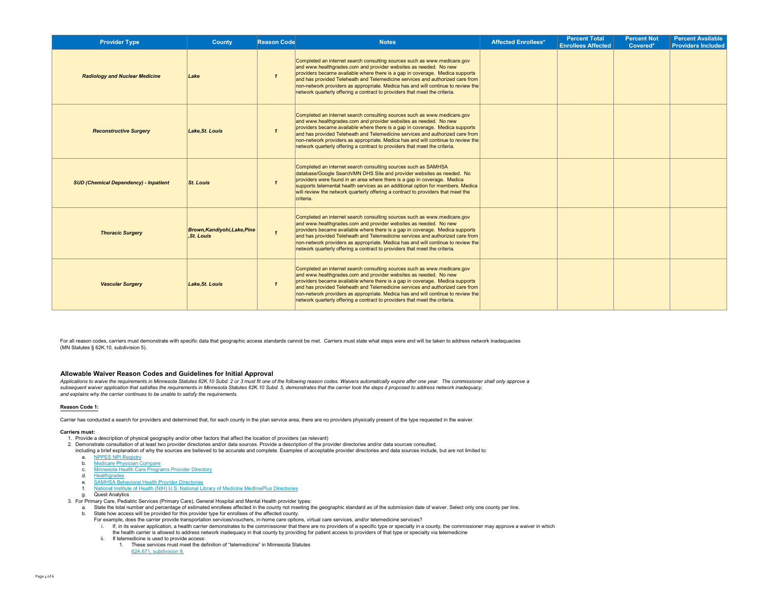| <b>Provider Type</b>                         | County                                            | <b>Reason Code</b> | <b>Notes</b>                                                                                                                                                                                                                                                                                                                                                                                                                                                                    | <b>Affected Enrollees*</b> | <b>Percent Total</b><br><b>Enrollees Affected</b> | <b>Percent Not</b><br>Covered* | <b>Percent Available</b><br><b>Providers Included</b> |
|----------------------------------------------|---------------------------------------------------|--------------------|---------------------------------------------------------------------------------------------------------------------------------------------------------------------------------------------------------------------------------------------------------------------------------------------------------------------------------------------------------------------------------------------------------------------------------------------------------------------------------|----------------------------|---------------------------------------------------|--------------------------------|-------------------------------------------------------|
| <b>Radiology and Nuclear Medicine</b>        | Lake                                              | $\mathbf{1}$       | Completed an internet search consulting sources such as www.medicare.gov<br>and www.healthgrades.com and provider websites as needed. No new<br>providers became available where there is a gap in coverage. Medica supports<br>and has provided Teleheath and Telemedicine services and authorized care from<br>non-network providers as appropriate. Medica has and will continue to review the<br>network quarterly offering a contract to providers that meet the criteria. |                            |                                                   |                                |                                                       |
| <b>Reconstructive Surgery</b>                | Lake.St. Louis                                    |                    | Completed an internet search consulting sources such as www.medicare.gov<br>and www.healthgrades.com and provider websites as needed. No new<br>providers became available where there is a gap in coverage. Medica supports<br>and has provided Teleheath and Telemedicine services and authorized care from<br>non-network providers as appropriate. Medica has and will continue to review the<br>network quarterly offering a contract to providers that meet the criteria. |                            |                                                   |                                |                                                       |
| <b>SUD (Chemical Dependency) - Inpatient</b> | <b>St. Louis</b>                                  |                    | Completed an internet search consulting sources such as SAMHSA<br>database/Google Search/MN DHS Site and provider websites as needed. No<br>providers were found in an area where there is a gap in coverage. Medica<br>supports telemental health services as an additional option for members. Medica<br>will review the network quarterly offering a contract to providers that meet the<br>criteria.                                                                        |                            |                                                   |                                |                                                       |
| <b>Thoracic Surgery</b>                      | <b>Brown, Kandiyohi, Lake, Pine</b><br>.St. Louis | $\mathbf{1}$       | Completed an internet search consulting sources such as www.medicare.gov<br>and www.healthgrades.com and provider websites as needed. No new<br>providers became available where there is a gap in coverage. Medica supports<br>and has provided Teleheath and Telemedicine services and authorized care from<br>non-network providers as appropriate. Medica has and will continue to review the<br>network quarterly offering a contract to providers that meet the criteria. |                            |                                                   |                                |                                                       |
| <b>Vascular Surgery</b>                      | Lake, St. Louis                                   | $\mathbf{1}$       | Completed an internet search consulting sources such as www.medicare.gov<br>and www.healthgrades.com and provider websites as needed. No new<br>providers became available where there is a gap in coverage. Medica supports<br>and has provided Teleheath and Telemedicine services and authorized care from<br>non-network providers as appropriate. Medica has and will continue to review the<br>network quarterly offering a contract to providers that meet the criteria. |                            |                                                   |                                |                                                       |

For all reason codes, carriers must demonstrate with specific data that geographic access standards cannot be met. Carriers must state what steps were and will be taken to address network inadequacies (MN Statutes § 62K.10, subdivision 5).

# **Allowable Waiver Reason Codes and Guidelines for Initial Approval**

Applications to waive the requirements in Minnesota Statutes 62K.10 Subd. 2 or 3 must fit one of the following reason codes. Waivers automatically expire after one year. The commissioner shall only approve a *subsequent waiver application that satisfies the requirements in Minnesota Statutes 62K.10 Subd. 5, demonstrates that the carrier took the steps it proposed to address network inadequacy,and explains why the carrier continues to be unable to satisfy the requirements.*

# **Reason Code 1:**

Carrier has conducted a search for providers and determined that, for each county in the plan service area, there are no providers physically present of the type requested in the waiver.

### **Carriers must:**

- 1. Provide a description of physical geography and/or other factors that affect the location of providers (as relevant)
- 2. Demonstrate consultation of at least two provider directories and/or data sources. Provide a description of the provider directories and/or data sources consulted,
	- including a brief explanation of why the sources are believed to be accurate and complete. Examples of acceptable provider directories and data sources include, but are not limited to: a. NPPES NPI Registry
	-
	- b. Medicare Physician Compare
	- c. Minnesota Health Care Programs Provider Directory
	- d. Healthgrades
	- e. SAMHSA Behavioral Health Provider Directories
	- f. National Institute of Health (NIH) U.S. National Library of Medicine MedlinePlus Directories
	-
- g. Quest Analytics 3. For Primary Care, Pediatric Services (Primary Care), General Hospital and Mental Health provider types:
	- a. State the total number and percentage of estimated enrollees affected in the county not meeting the geographic standard as of the submission date of waiver. Select only one county per line.
	- b. State how access will be provided for this provider type for enrollees of the affected county.
		- For example, does the carrier provide transportation services/vouchers, in-home care options, virtual care services, and/or telemedicine services?
		- i. If, in its waiver application, a health carrier demonstrates to the commissioner that there are no providers of a specific type or specialty in a county, the commissioner may approve a waiver in which
		- the health carrier is allowed to address network inadequacy in that county by providing for patient access to providers of that type or specialty via telemedicine
		- ii. If telemedicine is used to provide access:
			- 1. These services must meet the definition of "telemedicine" in Minnesota Statutes62A.671, subdivision 9.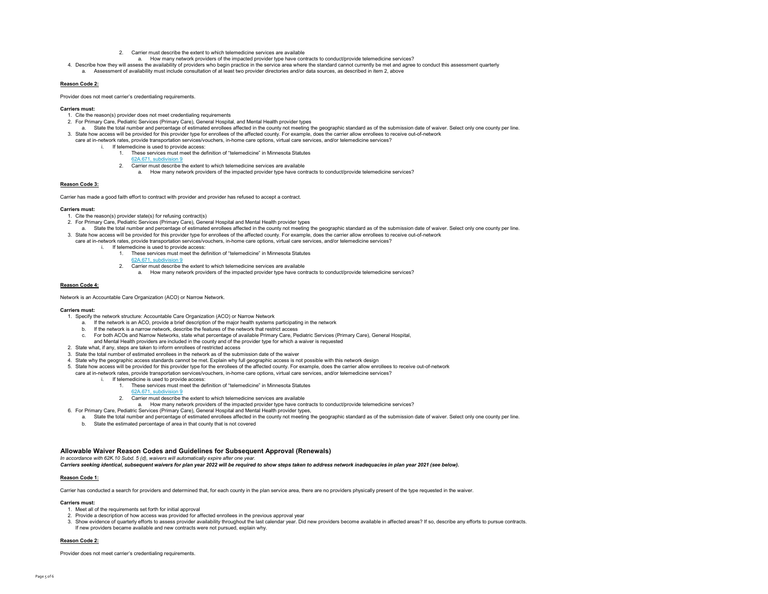- 2. Carrier must describe the extent to which telemedicine services are available
- a. How many network providers of the impacted provider type have contracts to conduct/provide telemedicine services?
- 4. Describe how they will assess the availability of providers who begin practice in the service area where the standard cannot currently be met and agree to conduct this assessment quarterly
- a. Assessment of availability must include consultation of at least two provider directories and/or data sources, as described in item 2, above

#### **Reason Code 2:**

Provider does not meet carrier's credentialing requirements.

#### **Carriers must:**

- 1. Cite the reason(s) provider does not meet credentialing requirements
- 2. For Primary Care, Pediatric Services (Primary Care), General Hospital, and Mental Health provider types
- a. State the total number and percentage of estimated enrollees affected in the county not meeting the geographic standard as of the submission date of waiver. Select only one county per line. 3. State how access will be provided for this provider type for enrollees of the affected county. For example, does the carrier allow enrollees to receive out-of-network
- care at in-network rates, provide transportation services/vouchers, in-home care options, virtual care services, and/or telemedicine services? i. If telemedicine is used to provide access:
	- 1. These services must meet the definition of "telemedicine" in Minnesota Statutes
	- 62A.671, subdivision 9
	- 2. Carrier must describe the extent to which telemedicine services are available
		- a. How many network providers of the impacted provider type have contracts to conduct/provide telemedicine services?

#### **Reason Code 3:**

Carrier has made a good faith effort to contract with provider and provider has refused to accept a contract.

#### **Carriers must:**

- 1. Cite the reason(s) provider state(s) for refusing contract(s)
- 2. For Primary Care, Pediatric Services (Primary Care), General Hospital and Mental Health provider types
- a. State the total number and percentage of estimated enrollees affected in the county not meeting the geographic standard as of the submission date of waiver. Select only one county per line. 3. State how access will be provided for this provider type for enrollees of the affected county. For example, does the carrier allow enrollees to receive out-of-network
- care at in-network rates, provide transportation services/vouchers, in-home care options, virtual care services, and/or telemedicine services? i. If telemedicine is used to provide access:
	- 1. These services must meet the definition of "telemedicine" in Minnesota Statutes
	- 62A.671, subdivision 9
	- 2. Carrier must describe the extent to which telemedicine services are available
		- a. How many network providers of the impacted provider type have contracts to conduct/provide telemedicine services?

#### **Reason Code 4:**

Network is an Accountable Care Organization (ACO) or Narrow Network.

#### **Carriers must:**

- 1. Specify the network structure: Accountable Care Organization (ACO) or Narrow Network
	- a. If the network is an ACO, provide a brief description of the major health systems participating in the network
	- b. If the network is a narrow network, describe the features of the network that restrict access
	- c. For both ACOs and Narrow Networks, state what percentage of available Primary Care, Pediatric Services (Primary Care), General Hospital,
- and Mental Health providers are included in the county and of the provider type for which a waiver is requested
- 2. State what, if any, steps are taken to inform enrollees of restricted access
- 3. State the total number of estimated enrollees in the network as of the submission date of the waiver
- 4. State why the geographic access standards cannot be met. Explain why full geographic access is not possible with this network design
- 5. State how access will be provided for this provider type for the enrollees of the affected county. For example, does the carrier allow enrollees to receive out-of-network
	- care at in-network rates, provide transportation services/vouchers, in-home care options, virtual care services, and/or telemedicine services?
		- i. If telemedicine is used to provide access:
			- 1. These services must meet the definition of "telemedicine" in Minnesota Statutes
			- 62A.671, subdivision 9
			- 2. Carrier must describe the extent to which telemedicine services are available
				- a. How many network providers of the impacted provider type have contracts to conduct/provide telemedicine services?
- 6. For Primary Care, Pediatric Services (Primary Care), General Hospital and Mental Health provider types,
- a. State the total number and percentage of estimated enrollees affected in the county not meeting the geographic standard as of the submission date of waiver. Select only one county per line.
	- b. State the estimated percentage of area in that county that is not covered

#### **Allowable Waiver Reason Codes and Guidelines for Subsequent Approval (Renewals)**

*In accordance with 62K.10 Subd. 5 (d), waivers will automatically expire after one year.* 

*Carriers seeking identical, subsequent waivers for plan year 2022 will be required to show steps taken to address network inadequacies in plan year 2021 (see below).*

# **Reason Code 1:**

Carrier has conducted a search for providers and determined that, for each county in the plan service area, there are no providers physically present of the type requested in the waiver.

#### **Carriers must:**

- 1. Meet all of the requirements set forth for initial approval
- 2. Provide a description of how access was provided for affected enrollees in the previous approval year
- 3. Show evidence of quarterly efforts to assess provider availability throughout the last calendar year. Did new providers become available in affected areas? If so, describe any efforts to pursue contracts. If new providers became available and new contracts were not pursued, explain why.

#### **Reason Code 2:**

Provider does not meet carrier's credentialing requirements.